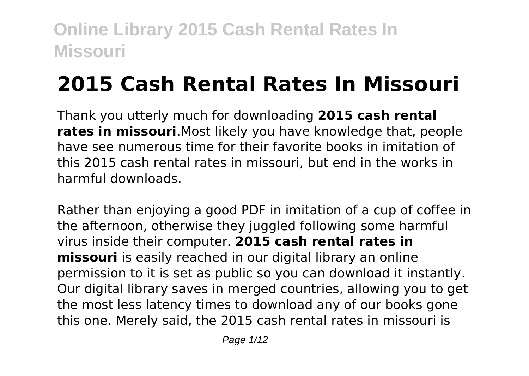# **2015 Cash Rental Rates In Missouri**

Thank you utterly much for downloading **2015 cash rental rates in missouri**.Most likely you have knowledge that, people have see numerous time for their favorite books in imitation of this 2015 cash rental rates in missouri, but end in the works in harmful downloads.

Rather than enjoying a good PDF in imitation of a cup of coffee in the afternoon, otherwise they juggled following some harmful virus inside their computer. **2015 cash rental rates in missouri** is easily reached in our digital library an online permission to it is set as public so you can download it instantly. Our digital library saves in merged countries, allowing you to get the most less latency times to download any of our books gone this one. Merely said, the 2015 cash rental rates in missouri is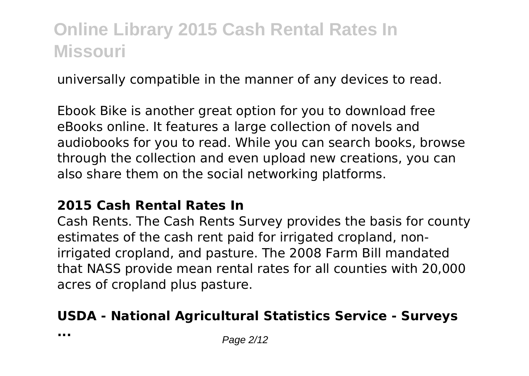universally compatible in the manner of any devices to read.

Ebook Bike is another great option for you to download free eBooks online. It features a large collection of novels and audiobooks for you to read. While you can search books, browse through the collection and even upload new creations, you can also share them on the social networking platforms.

#### **2015 Cash Rental Rates In**

Cash Rents. The Cash Rents Survey provides the basis for county estimates of the cash rent paid for irrigated cropland, nonirrigated cropland, and pasture. The 2008 Farm Bill mandated that NASS provide mean rental rates for all counties with 20,000 acres of cropland plus pasture.

#### **USDA - National Agricultural Statistics Service - Surveys**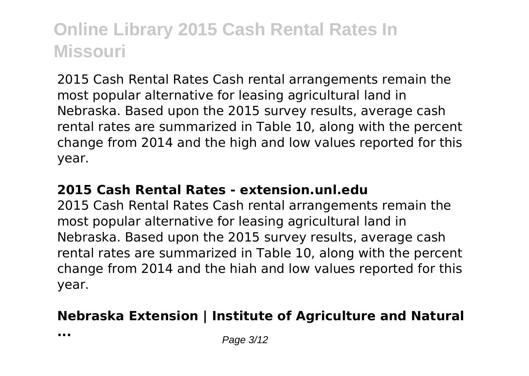2015 Cash Rental Rates Cash rental arrangements remain the most popular alternative for leasing agricultural land in Nebraska. Based upon the 2015 survey results, average cash rental rates are summarized in Table 10, along with the percent change from 2014 and the high and low values reported for this year.

#### **2015 Cash Rental Rates - extension.unl.edu**

2015 Cash Rental Rates Cash rental arrangements remain the most popular alternative for leasing agricultural land in Nebraska. Based upon the 2015 survey results, average cash rental rates are summarized in Table 10, along with the percent change from 2014 and the hiah and low values reported for this year.

#### **Nebraska Extension | Institute of Agriculture and Natural**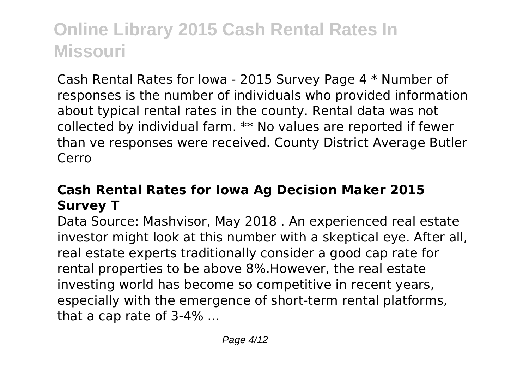Cash Rental Rates for Iowa - 2015 Survey Page 4 \* Number of responses is the number of individuals who provided information about typical rental rates in the county. Rental data was not collected by individual farm. \*\* No values are reported if fewer than ve responses were received. County District Average Butler Cerro

#### **Cash Rental Rates for Iowa Ag Decision Maker 2015 Survey T**

Data Source: Mashvisor, May 2018 . An experienced real estate investor might look at this number with a skeptical eve. After all, real estate experts traditionally consider a good cap rate for rental properties to be above 8%.However, the real estate investing world has become so competitive in recent years, especially with the emergence of short-term rental platforms, that a cap rate of 3-4% ...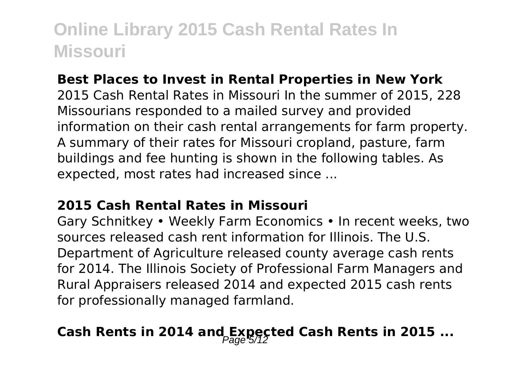#### **Best Places to Invest in Rental Properties in New York**

2015 Cash Rental Rates in Missouri In the summer of 2015, 228 Missourians responded to a mailed survey and provided information on their cash rental arrangements for farm property. A summary of their rates for Missouri cropland, pasture, farm buildings and fee hunting is shown in the following tables. As expected, most rates had increased since ...

#### **2015 Cash Rental Rates in Missouri**

Gary Schnitkey • Weekly Farm Economics • In recent weeks, two sources released cash rent information for Illinois. The U.S. Department of Agriculture released county average cash rents for 2014. The Illinois Society of Professional Farm Managers and Rural Appraisers released 2014 and expected 2015 cash rents for professionally managed farmland.

### Cash Rents in 2014 and Expected Cash Rents in 2015 ...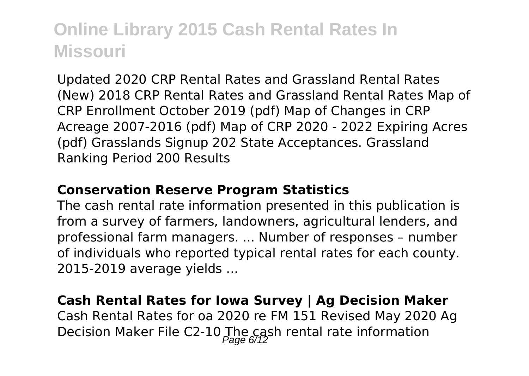Updated 2020 CRP Rental Rates and Grassland Rental Rates (New) 2018 CRP Rental Rates and Grassland Rental Rates Map of CRP Enrollment October 2019 (pdf) Map of Changes in CRP Acreage 2007-2016 (pdf) Map of CRP 2020 - 2022 Expiring Acres (pdf) Grasslands Signup 202 State Acceptances. Grassland Ranking Period 200 Results

#### **Conservation Reserve Program Statistics**

The cash rental rate information presented in this publication is from a survey of farmers, landowners, agricultural lenders, and professional farm managers. ... Number of responses – number of individuals who reported typical rental rates for each county. 2015-2019 average yields ...

#### **Cash Rental Rates for Iowa Survey | Ag Decision Maker**

Cash Rental Rates for oa 2020 re FM 151 Revised May 2020 Ag Decision Maker File C2-10 The cash rental rate information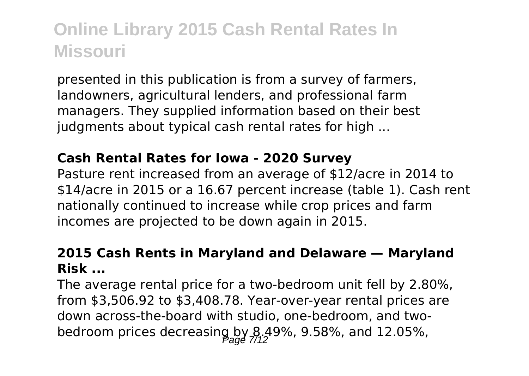presented in this publication is from a survey of farmers, landowners, agricultural lenders, and professional farm managers. They supplied information based on their best judgments about typical cash rental rates for high ...

#### **Cash Rental Rates for Iowa - 2020 Survey**

Pasture rent increased from an average of \$12/acre in 2014 to \$14/acre in 2015 or a 16.67 percent increase (table 1). Cash rent nationally continued to increase while crop prices and farm incomes are projected to be down again in 2015.

#### **2015 Cash Rents in Maryland and Delaware — Maryland Risk ...**

The average rental price for a two-bedroom unit fell by 2.80%, from \$3,506.92 to \$3,408.78. Year-over-year rental prices are down across-the-board with studio, one-bedroom, and twobedroom prices decreasing by  $8.49\%$ , 9.58%, and 12.05%,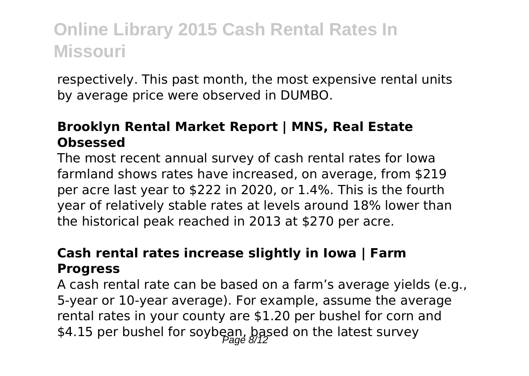respectively. This past month, the most expensive rental units by average price were observed in DUMBO.

#### **Brooklyn Rental Market Report | MNS, Real Estate Obsessed**

The most recent annual survey of cash rental rates for Iowa farmland shows rates have increased, on average, from \$219 per acre last year to \$222 in 2020, or 1.4%. This is the fourth year of relatively stable rates at levels around 18% lower than the historical peak reached in 2013 at \$270 per acre.

#### **Cash rental rates increase slightly in Iowa | Farm Progress**

A cash rental rate can be based on a farm's average yields (e.g., 5-year or 10-year average). For example, assume the average rental rates in your county are \$1.20 per bushel for corn and \$4.15 per bushel for soybean, based on the latest survey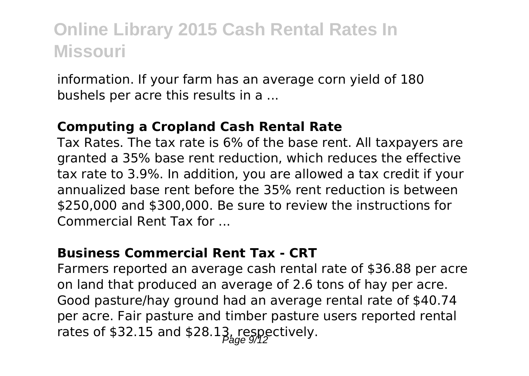information. If your farm has an average corn yield of 180 bushels per acre this results in a ...

#### **Computing a Cropland Cash Rental Rate**

Tax Rates. The tax rate is 6% of the base rent. All taxpayers are granted a 35% base rent reduction, which reduces the effective tax rate to 3.9%. In addition, you are allowed a tax credit if your annualized base rent before the 35% rent reduction is between \$250,000 and \$300,000. Be sure to review the instructions for Commercial Rent Tax for ...

#### **Business Commercial Rent Tax - CRT**

Farmers reported an average cash rental rate of \$36.88 per acre on land that produced an average of 2.6 tons of hay per acre. Good pasture/hay ground had an average rental rate of \$40.74 per acre. Fair pasture and timber pasture users reported rental rates of \$32.15 and \$28.13, respectively.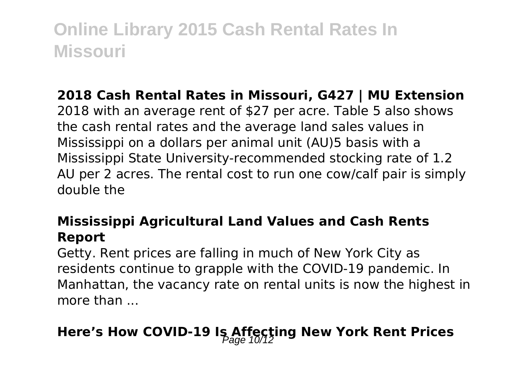#### **2018 Cash Rental Rates in Missouri, G427 | MU Extension**

2018 with an average rent of \$27 per acre. Table 5 also shows the cash rental rates and the average land sales values in Mississippi on a dollars per animal unit (AU)5 basis with a Mississippi State University-recommended stocking rate of 1.2 AU per 2 acres. The rental cost to run one cow/calf pair is simply double the

#### **Mississippi Agricultural Land Values and Cash Rents Report**

Getty. Rent prices are falling in much of New York City as residents continue to grapple with the COVID-19 pandemic. In Manhattan, the vacancy rate on rental units is now the highest in more than ...

# **Here's How COVID-19 Is Affecting New York Rent Prices**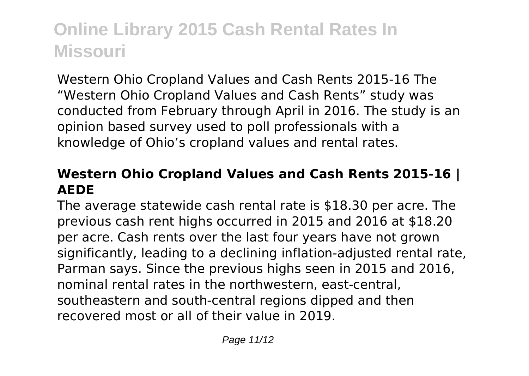Western Ohio Cropland Values and Cash Rents 2015-16 The "Western Ohio Cropland Values and Cash Rents" study was conducted from February through April in 2016. The study is an opinion based survey used to poll professionals with a knowledge of Ohio's cropland values and rental rates.

#### **Western Ohio Cropland Values and Cash Rents 2015-16 | AEDE**

The average statewide cash rental rate is \$18.30 per acre. The previous cash rent highs occurred in 2015 and 2016 at \$18.20 per acre. Cash rents over the last four years have not grown significantly, leading to a declining inflation-adjusted rental rate, Parman says. Since the previous highs seen in 2015 and 2016, nominal rental rates in the northwestern, east-central, southeastern and south-central regions dipped and then recovered most or all of their value in 2019.